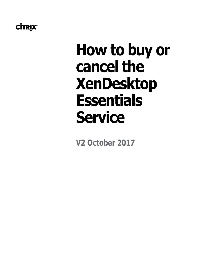# **How to buy or cancel the XenDesktop Essentials Service**

**V2 October 2017**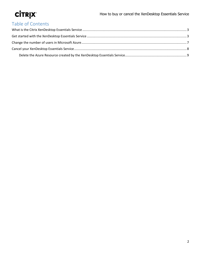# Table of Contents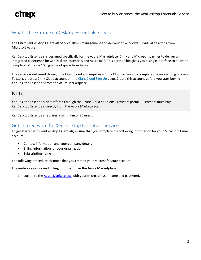### <span id="page-2-0"></span>What is the Citrix XenDesktop Essentials Service

The Citrix XenDesktop Essentials Service allows management and delivery of Windows 10 virtual desktops from Microsoft Azure.

XenDesktop Essentials is designed specifically for the Azure Marketplace. Citrix and Microsoft partner to deliver an integrated experience for XenDesktop Essentials and Azure IaaS. This partnership gives you a single interface to deliver a complete Windows 10 digital workspace from Azure.

The service is delivered through the Citrix Cloud and requires a Citrix Cloud account to complete the onboarding process. To start, create a Citrix Cloud account on the [Citrix Cloud Sign Up](https://onboarding.cloud.com/) page. Create this account before you start buying XenDesktop Essentials from the Azure Marketplace.

## Note

XenDesktop Essentials isn't offered through the Azure Cloud Solutions Providers portal. Customers must buy XenDesktop Essentials directly from the Azure Marketplace.

XenDesktop Essentials requires a minimum of 25 users.

### <span id="page-2-1"></span>Get started with the XenDesktop Essentials Service

To get started with XenDesktop Essentials, ensure that you complete the following information for your Microsoft Azure account:

- Contact information and your company details
- Billing information for your organization
- Subscription name

The following procedure assumes that you created your Microsoft Azure account.

#### **To create a resource and billing information in the Azure Marketplace**

1. Log on to th[e Azure Marketplace](https://azuremarketplace.microsoft.com/en-us/marketplace/apps/Citrix.XenAppEssentials) with your Microsoft user name and password.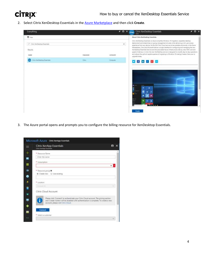2. Select Citrix XenDesktop Essentials in th[e Azure Marketplace](https://azuremarketplace.microsoft.com/en-us/marketplace/apps/Citrix.XenAppEssentials) and then click **Create**.



3. The Azure portal opens and prompts you to configure the billing resource for XenDesktop Essentials.

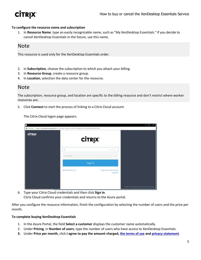

#### **To configure the resource name and subscription**

1. In **Resource Name**, type an easily recognizable name, such as "My XenDesktop Essentials." If you decide to cancel XenDesktop Essentials in the future, use this name.

### Note

This resource is used only for the XenDesktop Essentials order.

- 2. In **Subscription**, choose the subscription to which you attach your billing.
- 3. In **Resource Group**, create a resource group.
- 4. In **Location**, selection the data center for the resource.

#### Note

The subscription, resource group, and location are specific to the billing resource and don't restrict where worker resources are.

5. Click **Connect** to start the process of linking to a Citrix Cloud account.

The Citrix Cloud logon page appears.

| <b>CİTRIX</b> |                 | <b>CİTRIX</b>                           |                                               |
|---------------|-----------------|-----------------------------------------|-----------------------------------------------|
|               |                 | <b>Littlematthe</b>                     |                                               |
|               | Password        |                                         |                                               |
|               |                 | Sign in                                 |                                               |
|               | se Rennember me | Forgot your password?<br><b>Support</b> |                                               |
|               |                 |                                         |                                               |
|               |                 |                                         | @2017 Close tyskens fre, All (Ighth reserved. |

6. Type your Citrix Cloud credentials and then click **Sign in**. Citrix Cloud confirms your credentials and returns to the Azure portal.

After you configure the resource information, finish the configuration by selecting the number of users and the price per month.

#### **To complete buying XenDesktop Essentials**

- 1. In the Azure Portal, the field **Select a customer** displays the customer name automatically.
- 2. Under **Pricing**, in **Number of users**, type the number of users who have access to XenDesktop Essentials.
- **3.** Under **Price per month**, click **I agree to pay the amount charged, the [terms of use](https://www.citrix.com/content/dam/citrix/en_us/documents/buy/enterprise-saas-eusa.pdf) and [privacy statement](https://www.citrix.com/about/legal/privacy/)**.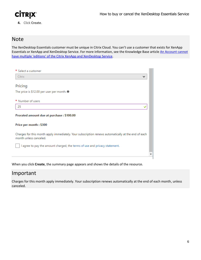

**4.** Click **Create**.

### Note

The XenDesktop Essentials customer must be unique in Citrix Cloud. You can't use a customer that exists for XenApp Essentials or XenApp and XenDesktop Service. For more information, see the Knowledge Base article [An Account cannot](https://support.citrix.com/article/CTX222910)  have multiple 'editions' [of the Citrix XenApp and XenDesktop Service.](https://support.citrix.com/article/CTX222910)

| * Select a customer                                                                                                           |  |
|-------------------------------------------------------------------------------------------------------------------------------|--|
| Citrix                                                                                                                        |  |
|                                                                                                                               |  |
| Pricing                                                                                                                       |  |
| The price is \$12.00 per user per month. $\Theta$                                                                             |  |
|                                                                                                                               |  |
| * Number of users                                                                                                             |  |
| 25                                                                                                                            |  |
| Prorated amount due at purchase: \$100.00                                                                                     |  |
| Price per month: \$300                                                                                                        |  |
| Charges for this month apply immediately. Your subscription renews automatically at the end of each<br>month unless canceled. |  |
| I agree to pay the amount charged, the terms of use and privacy statement.                                                    |  |
|                                                                                                                               |  |
|                                                                                                                               |  |

When you click **Create**, the summary page appears and shows the details of the resource.

### Important

Charges for this month apply immediately. Your subscription renews automatically at the end of each month, unless canceled.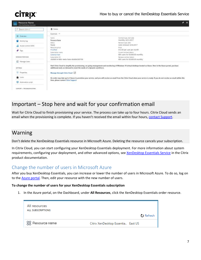# **CITRIX**

| Resource Name<br>Citrix Hardborttow Envertish |                                                                          |                                                                                                                                                                                       | $\star$ $\times$ |
|-----------------------------------------------|--------------------------------------------------------------------------|---------------------------------------------------------------------------------------------------------------------------------------------------------------------------------------|------------------|
| C Search (Cht+f)                              | <b>E</b> Delete                                                          |                                                                                                                                                                                       |                  |
| 28<br>Cytrites                                | Essentials m                                                             |                                                                                                                                                                                       |                  |
| ۰<br>Activity log                             | Name.<br>Resource Name                                                   | Contract fype start pate<br>Monthly, 8/31/2017                                                                                                                                        |                  |
| Access control (IAM)                          | Status:<br>Ready<br>Resource group                                       | Renewal type, state<br>Auto-renewal, 9/30/2017<br>Price <sup>2</sup>                                                                                                                  |                  |
| o<br>Tags                                     | ProdTest<br>Subscription name                                            | \$12.00 per user per month.<br>Corrent instituct details:                                                                                                                             |                  |
| MANASE PURCHASE                               | External Test<br>Saturnation (D)<br>c6d66614-868c-4e6a-9aea-d6d6b6385706 | 800 users for \$9,600.00 monthly<br>Renewal contract details<br>600 users for \$9,600.00 monthly                                                                                      |                  |
| Manage Users                                  |                                                                          |                                                                                                                                                                                       |                  |
| <b>SETTINGS</b>                               | additional seats on-demand to meet the needs of a dynamic workforce.     | Visit Citrix Cloud to simplify the provisioning, on-going management and monitoring of Windows 10 virtual desktops hosted on Azure. Here in the Azure portal, purchase                |                  |
| <b>III</b> Properties                         | Manage through Citrix Cloud [2]                                          |                                                                                                                                                                                       |                  |
| <b>Q</b> Locks                                |                                                                          | An order may take up to 4 hours to provision your service, and you will receive an email from the Citrix Cloud when your service is ready. If you do not receive an email within this |                  |
| Automation script                             | time, please contact Citrix Support                                      |                                                                                                                                                                                       |                  |
| SUPPORT + TROUBLESHOOTING                     |                                                                          |                                                                                                                                                                                       |                  |
|                                               |                                                                          |                                                                                                                                                                                       |                  |

## Important – Stop here and wait for your confirmation email

Wait for Citrix Cloud to finish provisioning your service. The process can take up to four hours. Citrix Cloud sends an email when the provisioning is complete. If you haven't received the email within four hours, contact [Support.](https://www.citrix.com/support/open-a-support-case/)

# Warning

Don't delete the XenDesktop Essentials resource in Microsoft Azure. Deleting the resource cancels your subscription.

In Citrix Cloud, you can start configuring your XenDesktop Essentials deployment. For more information about system requirements, configuring your deployment, and other advanced options, see [XenDesktop Essentials](http://docs.citrix.com/en-us/citrix-cloud/xenapp-and-xendesktop-service/xendesktop-essentials.html) Service in the Citrix product documentation.

### <span id="page-6-0"></span>Change the number of users in Microsoft Azure

After you buy XenDesktop Essentials, you can increase or lower the number of users in Microsoft Azure. To do so, log on to the **Azure portal**. Then, edit your resource with the new number of users.

#### **To change the number of users for your XenDesktop Essentials subscription**

1. In the Azure portal, on the Dashboard, under **All Resources**, click the XenDesktop Essentials order resource.

| All resources<br><b>ALL SUBSCRIPTIONS</b> |                                    |  |
|-------------------------------------------|------------------------------------|--|
|                                           | O Refresh                          |  |
| XX Resource name                          | Citrix XenDesktop Essentia East US |  |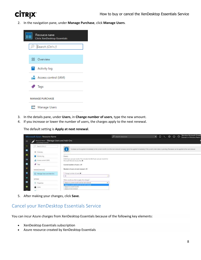2. In the navigation pane, under **Manage Purchase**, click **Manage Users**.

| Resource name<br><b>Citrix XenDesktop Essentials</b> |  |
|------------------------------------------------------|--|
| Ctrl+/)                                              |  |
| 88 Overview                                          |  |
| $\Box$ Activity log                                  |  |
| <b>ACCESS CONTROL (IAM)</b>                          |  |
| Tags                                                 |  |
| <b>MANAGE PURCHASE</b>                               |  |
| Manage Users                                         |  |

- 3. In the details pane, under **Users**, in **Change number of users**, type the new amount.
- 4. If you increase or lower the number of users, the charges apply to the next renewal.

The default setting is **Apply at next renewal**.

|                | Microsoft Azure Resource Name                                  |                                                                                                                | O search instrument                                                                                                                                                                                 | $\bullet$ 0 2 0 0 0 |  | Service Account Ema<br>Domain or Directory Nam |
|----------------|----------------------------------------------------------------|----------------------------------------------------------------------------------------------------------------|-----------------------------------------------------------------------------------------------------------------------------------------------------------------------------------------------------|---------------------|--|------------------------------------------------|
| 丰              | National Neve - Manage Users and Add-Ons.<br>Continuous format |                                                                                                                |                                                                                                                                                                                                     |                     |  |                                                |
| $\blacksquare$ | P. Seenstoner                                                  |                                                                                                                |                                                                                                                                                                                                     |                     |  |                                                |
| ٠              | <b>San Kollador &amp; Some</b><br>Ell Chevrey                  |                                                                                                                | Interests can be applied investigatly to the purent month or at the read revenue (present he applied inmediate) if the symbol order status is periode). Deceases can be applied at the read removal |                     |  |                                                |
| 畢              | Activity Ing.                                                  | Users                                                                                                          |                                                                                                                                                                                                     |                     |  |                                                |
| w              | INAL Instruct associated                                       | \$18.25 per some per month. This instudentive \$6.25 per user per muntit for<br>Microsoft Remote Access Fee, @ |                                                                                                                                                                                                     |                     |  |                                                |
|                | $P$ Table                                                      | Current number of asses : 29                                                                                   |                                                                                                                                                                                                     |                     |  |                                                |
|                | CONTRACTOR<br><b>NAMAGE PURCHASE</b>                           | Number of users at next renewal : 29                                                                           |                                                                                                                                                                                                     |                     |  |                                                |
| 首              | Menage Users and Add-One                                       | * Overge number of uses @                                                                                      |                                                                                                                                                                                                     |                     |  |                                                |
|                | <b>CONTRACTOR</b><br>IETTIMOS                                  | 30<br>When would you like to apply this change?                                                                |                                                                                                                                                                                                     |                     |  |                                                |
|                | III. Properties                                                | Apply to current reprith and at oast retreated                                                                 |                                                                                                                                                                                                     |                     |  |                                                |
|                | A inni<br>.                                                    | Apply to current month and at past renewal.<br>Apply to current munth<br>Apply on next renewal.                |                                                                                                                                                                                                     |                     |  |                                                |

5. After making your changes, click **Save**.

#### <span id="page-7-0"></span>Cancel your XenDesktop Essentials Service

You can incur Azure charges from XenDesktop Essentials because of the following key elements:

- XenDesktop Essentials subscription
- Azure resource created by XenDesktop Essentials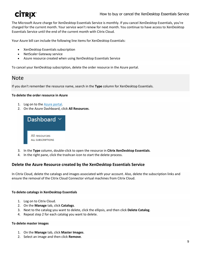The Microsoft Azure charge for XenDesktop Essentials Service is monthly. If you cancel XenDesktop Essentials, you're charged for the current month. Your service won't renew for next month. You continue to have access to XenDesktop Essentials Service until the end of the current month with Citrix Cloud.

Your Azure bill can include the following line items for XenDesktop Essentials:

- XenDesktop Essentials subscription
- NetScaler Gateway service
- Azure resource created when using XenDesktop Essentials Service

To cancel your XenDesktop subscription, delete the order resource in the Azure portal.

### **Note**

If you don't remember the resource name, search in the **Type** column for XenDesktop Essentials.

#### **To delete the order resource in Azure**

- 1. Log on to the [Azure portal.](https://portal.azure.com/)
- 2. On the Azure Dashboard, click **All Resources**.



- 3. In the **Type** column, double-click to open the resource in **Citrix XenDesktop Essentials**.
- 4. In the right pane, click the trashcan icon to start the delete process.

#### <span id="page-8-0"></span>**Delete the Azure Resource created by the XenDesktop Essentials Service**

In Citrix Cloud, delete the catalogs and images associated with your account. Also, delete the subscription links and ensure the removal of the Citrix Cloud Connector virtual machines from Citrix Cloud.

#### **To delete catalogs in XenDesktop Essentials**

- 1. Log on to Citrix Cloud.
- 2. On the **Manage** tab, click **Catalogs**.
- 3. Next to the catalog you want to delete, click the ellipsis, and then click **Delete Catalog**.
- 4. Repeat step 2 for each catalog you want to delete.

#### **To delete master images**

- 1. On the **Manage** tab, click **Master Images**.
- 2. Select an image and then click **Remove**.